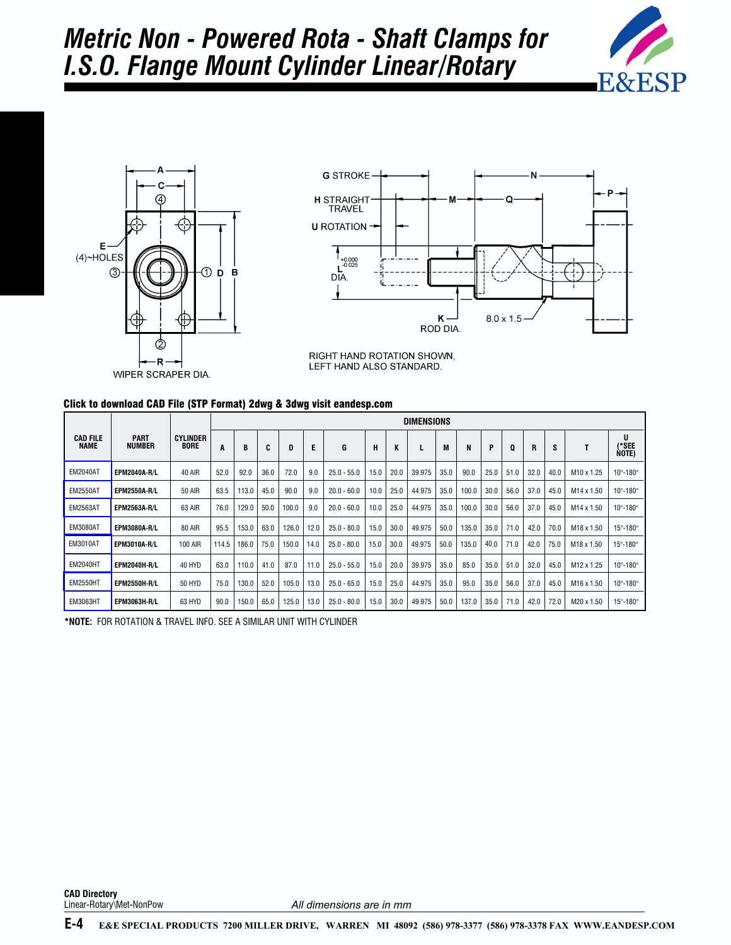





RIGHT HAND ROTATION SHOWN, LEFT HAND ALSO STANDARD.

## Click to download CAD File (STP Format) 2dwg & 3dwg visit eandesp.com

|                                |                              |                                | <b>DIMENSIONS</b> |       |      |       |      |               |      |      |        |      |       |      |      |      |      |                        |                            |
|--------------------------------|------------------------------|--------------------------------|-------------------|-------|------|-------|------|---------------|------|------|--------|------|-------|------|------|------|------|------------------------|----------------------------|
| <b>CAD FILE</b><br><b>NAME</b> | <b>PART</b><br><b>NUMBER</b> | <b>CYLINDER</b><br><b>BORE</b> | A                 | B     | C    | D     | E    | G             | н    | K    |        | M    | N     | P    | Q    | R    | S    |                        | U<br>(*SEE<br>Note)        |
| <b>EM2040AT</b>                | <b>EPM2040A-R/L</b>          | <b>40 AIR</b>                  | 52.0              | 92.0  | 36.0 | 72.0  | 9.0  | $25.0 - 55.0$ | 15.0 | 20.0 | 39.975 | 35.0 | 90.0  | 25.0 | 51.0 | 32.0 | 40.0 | M <sub>10</sub> x 1.25 | 10°-180°                   |
| <b>EM2550AT</b>                | <b>EPM2550A-R/L</b>          | <b>50 AIR</b>                  | 63.5              | 113.0 | 45.0 | 90.0  | 9.0  | $20.0 - 60.0$ | 10.0 | 25.0 | 44.975 | 35.0 | 100.0 | 30.0 | 56.0 | 37.0 | 45.0 | M14 x 1.50             | $10^{\circ} - 180^{\circ}$ |
| <b>EM2563AT</b>                | <b>EPM2563A-R/L</b>          | 63 AIR                         | 76.0              | 129.0 | 50.0 | 100.0 | 9.0  | $20.0 - 60.0$ | 10.0 | 25.0 | 44.975 | 35.0 | 100.0 | 30.0 | 56.0 | 37.0 | 45.0 | M14 x 1.50             | 10°-180°                   |
| <b>EM3080AT</b>                | <b>EPM3080A-R/L</b>          | <b>80 AIR</b>                  | 95.5              | 153.0 | 63.0 | 126.0 | 12.0 | $25.0 - 80.0$ | 15.0 | 30.0 | 49.975 | 50.0 | 135.0 | 35.0 | 71.0 | 42.0 | 70.0 | M <sub>18</sub> x 1.50 | 15°-180°                   |
| <b>EM3010AT</b>                | <b>EPM3010A-R/L</b>          | <b>100 AIR</b>                 | 114.5             | 186.0 | 75.0 | 150.0 | 14.0 | $25.0 - 80.0$ | 15.0 | 30.0 | 49.975 | 50.0 | 135.0 | 40.0 | 71.0 | 42.0 | 75.0 | M <sub>18</sub> x 1.50 | 15°-180°                   |
| <b>EM2040HT</b>                | <b>EPM2040H-R/L</b>          | 40 HYD                         | 63.0              | 110.0 | 41.0 | 87.0  | 11.0 | $25.0 - 55.0$ | 15.0 | 20.0 | 39.975 | 35.0 | 85.0  | 35.0 | 51.0 | 32.0 | 45.0 | M12 x 1.25             | $10^{\circ} - 180^{\circ}$ |
| <b>EM2550HT</b>                | <b>EPM2550H-R/L</b>          | 50 HYD                         | 75.0              | 130.0 | 52.0 | 105.0 | 13.0 | $25.0 - 65.0$ | 15.0 | 25.0 | 44.975 | 35.0 | 95.0  | 35.0 | 56.0 | 37.0 | 45.0 | M <sub>16</sub> x 1.50 | $10^{\circ} - 180^{\circ}$ |
| <b>EM3063HT</b>                | <b>EPM3063H-R/L</b>          | 63 HYD                         | 90.0              | 150.0 | 65.0 | 125.0 | 13.0 | $25.0 - 80.0$ | 15.0 | 30.0 | 49.975 | 50.0 | 137.0 | 35.0 | 71.0 | 42.0 | 72.0 | M20 x 1.50             | $15^{\circ} - 180^{\circ}$ |

**\*NOTE:** FOR ROTATION & TRAVEL INFO. SEE A SIMILAR UNIT WITH CYLINDER

**CAD Directory**